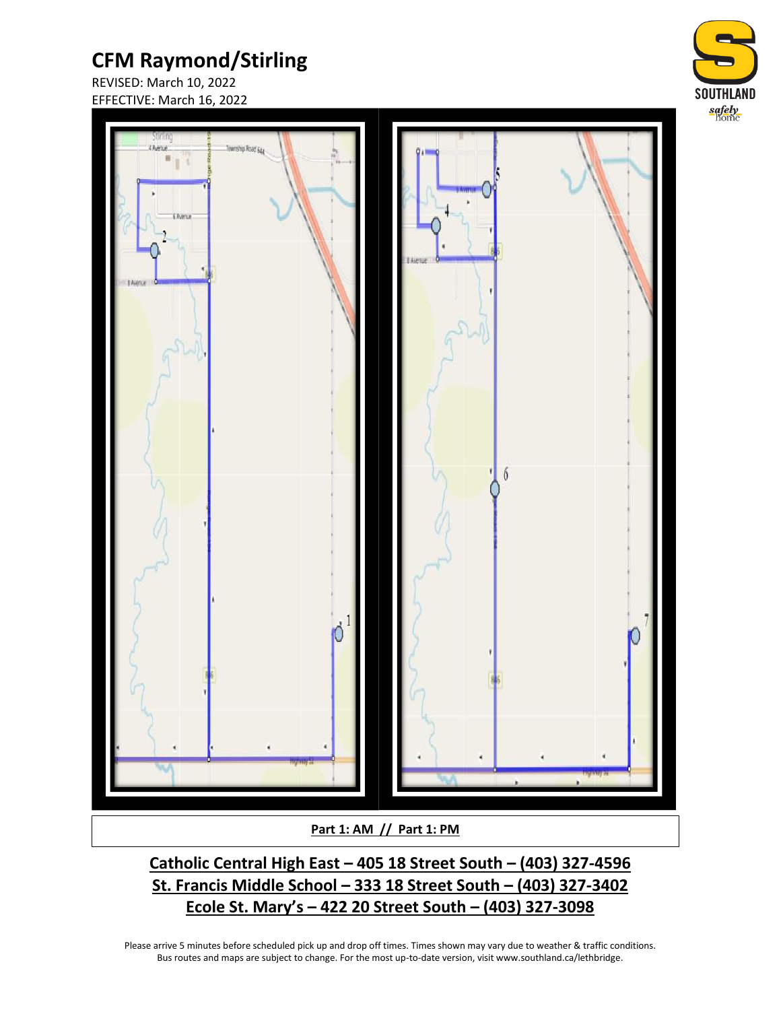REVISED: March 10, 2022 EFFECTIVE: March 16, 2022





**Part 1: AM // Part 1: PM**

**Catholic Central High East – 405 18 Street South – (403) 327-4596 St. Francis Middle School – 333 18 Street South – (403) 327-3402 Ecole St. Mary's – 422 20 Street South – (403) 327-3098**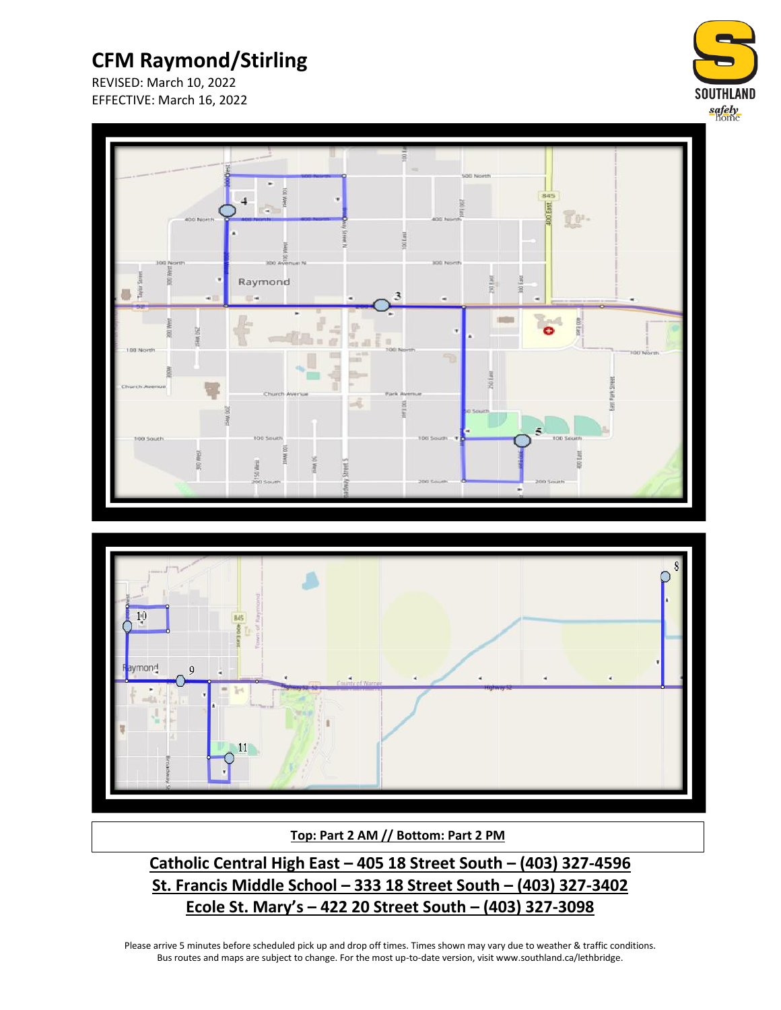

REVISED: March 10, 2022 EFFECTIVE: March 16, 2022

ymond

 $\mathbf 0$ 

 $11$ 



#### **Top: Part 2 AM // Bottom: Part 2 PM**

**Catholic Central High East – 405 18 Street South – (403) 327-4596 St. Francis Middle School – 333 18 Street South – (403) 327-3402 Ecole St. Mary's – 422 20 Street South – (403) 327-3098**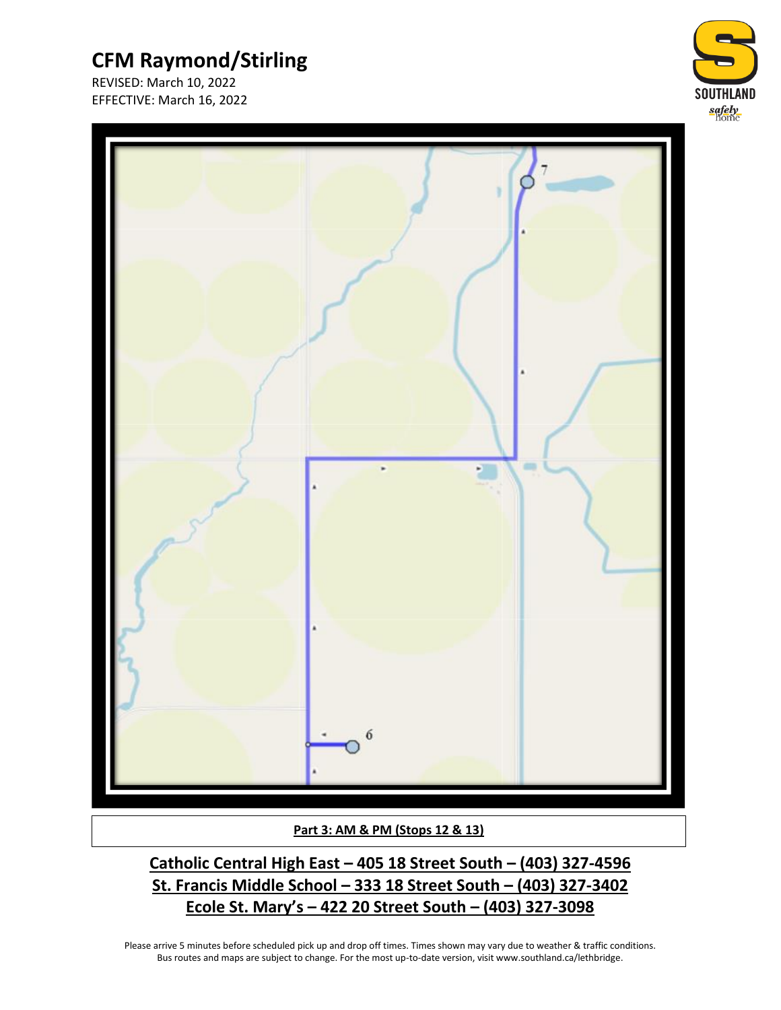REVISED: March 10, 2022 EFFECTIVE: March 16, 2022





**Part 3: AM & PM (Stops 12 & 13)**

**Catholic Central High East – 405 18 Street South – (403) 327-4596 St. Francis Middle School – 333 18 Street South – (403) 327-3402 Ecole St. Mary's – 422 20 Street South – (403) 327-3098**